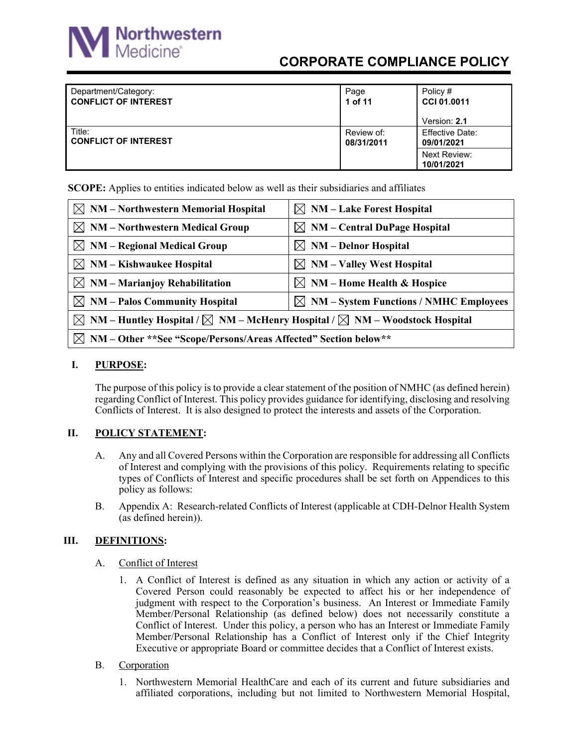

# **CORPORATE COMPLIANCE POLICY**

| Department/Category:<br><b>CONFLICT OF INTEREST</b> | Page<br>1 of 11          | Policy #<br>CCI 01.0011       |
|-----------------------------------------------------|--------------------------|-------------------------------|
|                                                     |                          | Version: 2.1                  |
| Title:<br><b>CONFLICT OF INTEREST</b>               | Review of:<br>08/31/2011 | Effective Date:<br>09/01/2021 |
|                                                     |                          | Next Review:<br>10/01/2021    |

**SCOPE:** Applies to entities indicated below as well as their subsidiaries and affiliates

| $\boxtimes$ NM – Northwestern Memorial Hospital                                                             | $\boxtimes$ NM – Lake Forest Hospital              |  |  |
|-------------------------------------------------------------------------------------------------------------|----------------------------------------------------|--|--|
| $\boxtimes$ NM – Northwestern Medical Group                                                                 | $\boxtimes$ NM – Central DuPage Hospital           |  |  |
| $\boxtimes$ NM – Regional Medical Group                                                                     | $\boxtimes$ NM – Delnor Hospital                   |  |  |
| $\boxtimes$ NM – Kishwaukee Hospital                                                                        | $\boxtimes$ NM – Valley West Hospital              |  |  |
| $\boxtimes$ NM – Marianjoy Rehabilitation                                                                   | $\boxtimes$ NM – Home Health & Hospice             |  |  |
| $\boxtimes$ NM – Palos Community Hospital                                                                   | $\boxtimes$ NM – System Functions / NMHC Employees |  |  |
| $\boxtimes$ NM – Huntley Hospital / $\boxtimes$ NM – McHenry Hospital / $\boxtimes$ NM – Woodstock Hospital |                                                    |  |  |
| $\boxtimes$ NM – Other **See "Scope/Persons/Areas Affected" Section below**                                 |                                                    |  |  |

#### **I. PURPOSE:**

The purpose of this policy is to provide a clear statement of the position of NMHC (as defined herein) regarding Conflict of Interest. This policy provides guidance for identifying, disclosing and resolving Conflicts of Interest. It is also designed to protect the interests and assets of the Corporation.

#### **II. POLICY STATEMENT:**

- A. Any and all Covered Persons within the Corporation are responsible for addressing all Conflicts of Interest and complying with the provisions of this policy. Requirements relating to specific types of Conflicts of Interest and specific procedures shall be set forth on Appendices to this policy as follows:
- B. Appendix A: Research-related Conflicts of Interest (applicable at CDH-Delnor Health System (as defined herein)).

#### **III. DEFINITIONS:**

- A. Conflict of Interest
	- 1. A Conflict of Interest is defined as any situation in which any action or activity of a Covered Person could reasonably be expected to affect his or her independence of judgment with respect to the Corporation's business. An Interest or Immediate Family Member/Personal Relationship (as defined below) does not necessarily constitute a Conflict of Interest. Under this policy, a person who has an Interest or Immediate Family Member/Personal Relationship has a Conflict of Interest only if the Chief Integrity Executive or appropriate Board or committee decides that a Conflict of Interest exists.
- B. Corporation
	- 1. Northwestern Memorial HealthCare and each of its current and future subsidiaries and affiliated corporations, including but not limited to Northwestern Memorial Hospital,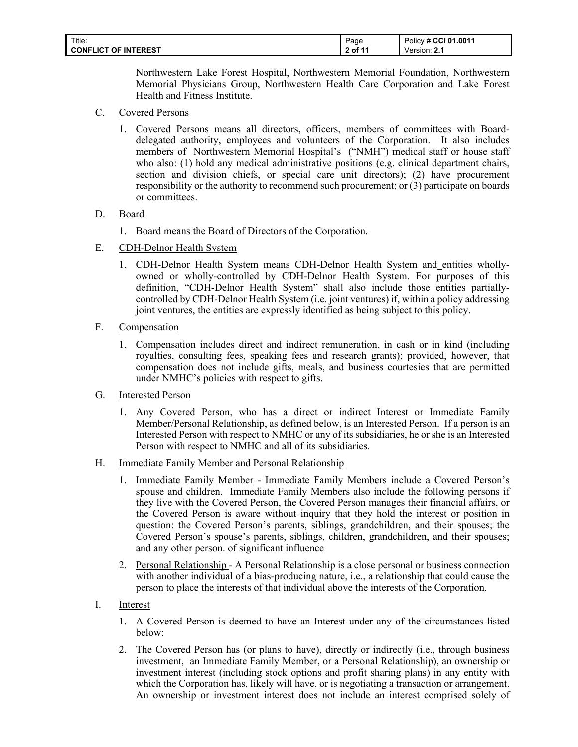| Title:                      | Page    | Policy # CCI 01.0011     |
|-----------------------------|---------|--------------------------|
| <b>CONFLICT OF INTEREST</b> | 2 of 11 | <u>_າ</u><br>∨ersion: ∠… |

Northwestern Lake Forest Hospital, Northwestern Memorial Foundation, Northwestern Memorial Physicians Group, Northwestern Health Care Corporation and Lake Forest Health and Fitness Institute.

- C. Covered Persons
	- 1. Covered Persons means all directors, officers, members of committees with Boarddelegated authority, employees and volunteers of the Corporation. It also includes members of Northwestern Memorial Hospital's ("NMH") medical staff or house staff who also: (1) hold any medical administrative positions (e.g. clinical department chairs, section and division chiefs, or special care unit directors); (2) have procurement responsibility or the authority to recommend such procurement; or (3) participate on boards or committees.

#### D. Board

- 1. Board means the Board of Directors of the Corporation.
- E. CDH-Delnor Health System
	- 1. CDH-Delnor Health System means CDH-Delnor Health System and entities whollyowned or wholly-controlled by CDH-Delnor Health System. For purposes of this definition, "CDH-Delnor Health System" shall also include those entities partiallycontrolled by CDH-Delnor Health System (i.e. joint ventures) if, within a policy addressing joint ventures, the entities are expressly identified as being subject to this policy.
- F. Compensation
	- 1. Compensation includes direct and indirect remuneration, in cash or in kind (including royalties, consulting fees, speaking fees and research grants); provided, however, that compensation does not include gifts, meals, and business courtesies that are permitted under NMHC's policies with respect to gifts.
- G. Interested Person
	- 1. Any Covered Person, who has a direct or indirect Interest or Immediate Family Member/Personal Relationship, as defined below, is an Interested Person. If a person is an Interested Person with respect to NMHC or any of its subsidiaries, he or she is an Interested Person with respect to NMHC and all of its subsidiaries.

#### H. Immediate Family Member and Personal Relationship

- 1. Immediate Family Member Immediate Family Members include a Covered Person's spouse and children. Immediate Family Members also include the following persons if they live with the Covered Person, the Covered Person manages their financial affairs, or the Covered Person is aware without inquiry that they hold the interest or position in question: the Covered Person's parents, siblings, grandchildren, and their spouses; the Covered Person's spouse's parents, siblings, children, grandchildren, and their spouses; and any other person. of significant influence
- 2. Personal Relationship A Personal Relationship is a close personal or business connection with another individual of a bias-producing nature, i.e., a relationship that could cause the person to place the interests of that individual above the interests of the Corporation.

# I. Interest

- 1. A Covered Person is deemed to have an Interest under any of the circumstances listed below:
- 2. The Covered Person has (or plans to have), directly or indirectly (i.e., through business investment, an Immediate Family Member, or a Personal Relationship), an ownership or investment interest (including stock options and profit sharing plans) in any entity with which the Corporation has, likely will have, or is negotiating a transaction or arrangement. An ownership or investment interest does not include an interest comprised solely of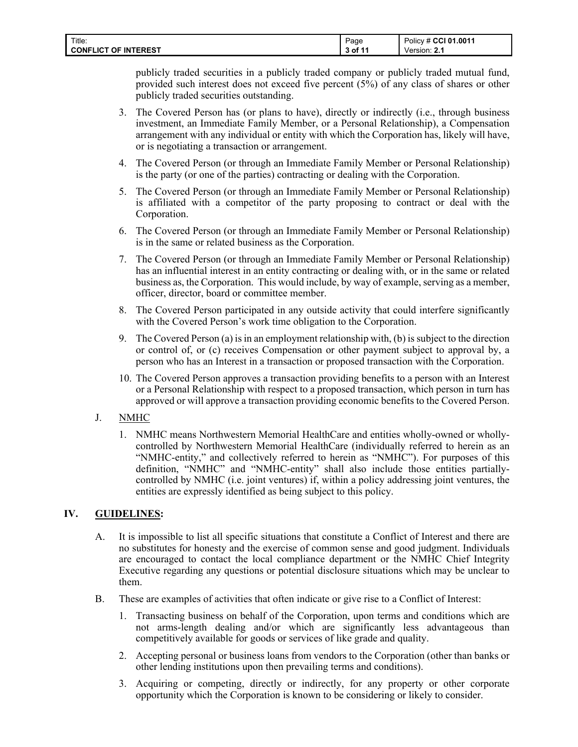| Title:                      | Page    | Policy # CCI 01.0011 |
|-----------------------------|---------|----------------------|
| <b>CONFLICT OF INTEREST</b> | 3 of 11 | Version: 2.1         |

publicly traded securities in a publicly traded company or publicly traded mutual fund, provided such interest does not exceed five percent  $(5%)$  of any class of shares or other publicly traded securities outstanding.

- 3. The Covered Person has (or plans to have), directly or indirectly (i.e., through business investment, an Immediate Family Member, or a Personal Relationship), a Compensation arrangement with any individual or entity with which the Corporation has, likely will have, or is negotiating a transaction or arrangement.
- 4. The Covered Person (or through an Immediate Family Member or Personal Relationship) is the party (or one of the parties) contracting or dealing with the Corporation.
- 5. The Covered Person (or through an Immediate Family Member or Personal Relationship) is affiliated with a competitor of the party proposing to contract or deal with the Corporation.
- 6. The Covered Person (or through an Immediate Family Member or Personal Relationship) is in the same or related business as the Corporation.
- 7. The Covered Person (or through an Immediate Family Member or Personal Relationship) has an influential interest in an entity contracting or dealing with, or in the same or related business as, the Corporation. This would include, by way of example, serving as a member, officer, director, board or committee member.
- 8. The Covered Person participated in any outside activity that could interfere significantly with the Covered Person's work time obligation to the Corporation.
- 9. The Covered Person (a) is in an employment relationship with, (b) is subject to the direction or control of, or (c) receives Compensation or other payment subject to approval by, a person who has an Interest in a transaction or proposed transaction with the Corporation.
- 10. The Covered Person approves a transaction providing benefits to a person with an Interest or a Personal Relationship with respect to a proposed transaction, which person in turn has approved or will approve a transaction providing economic benefits to the Covered Person.

# J. NMHC

1. NMHC means Northwestern Memorial HealthCare and entities wholly-owned or whollycontrolled by Northwestern Memorial HealthCare (individually referred to herein as an "NMHC-entity," and collectively referred to herein as "NMHC"). For purposes of this definition, "NMHC" and "NMHC-entity" shall also include those entities partiallycontrolled by NMHC (i.e. joint ventures) if, within a policy addressing joint ventures, the entities are expressly identified as being subject to this policy.

# **IV. GUIDELINES:**

- A. It is impossible to list all specific situations that constitute a Conflict of Interest and there are no substitutes for honesty and the exercise of common sense and good judgment. Individuals are encouraged to contact the local compliance department or the NMHC Chief Integrity Executive regarding any questions or potential disclosure situations which may be unclear to them.
- B. These are examples of activities that often indicate or give rise to a Conflict of Interest:
	- 1. Transacting business on behalf of the Corporation, upon terms and conditions which are not arms-length dealing and/or which are significantly less advantageous than competitively available for goods or services of like grade and quality.
	- 2. Accepting personal or business loans from vendors to the Corporation (other than banks or other lending institutions upon then prevailing terms and conditions).
	- 3. Acquiring or competing, directly or indirectly, for any property or other corporate opportunity which the Corporation is known to be considering or likely to consider.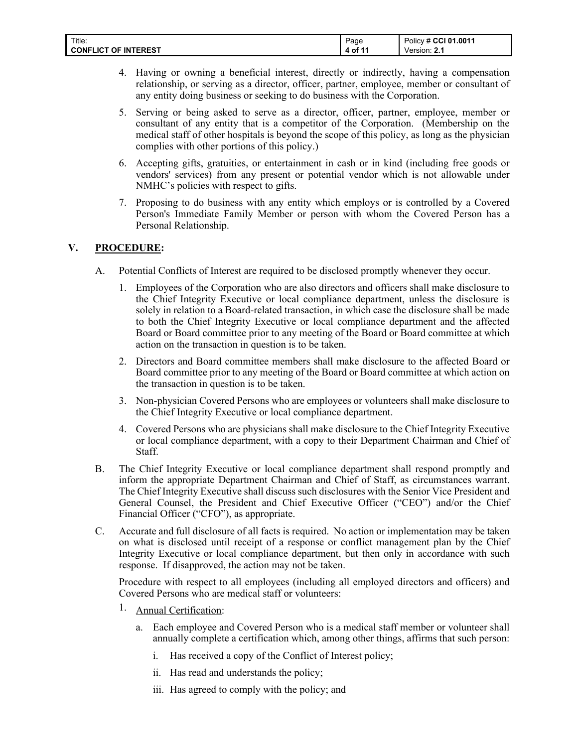| Title:                      | Page       | Policy # CCI 01.0011 |
|-----------------------------|------------|----------------------|
| <b>CONFLICT OF INTEREST</b> | of 11<br>л | Version: 2.1         |

- 4. Having or owning a beneficial interest, directly or indirectly, having a compensation relationship, or serving as a director, officer, partner, employee, member or consultant of any entity doing business or seeking to do business with the Corporation.
- 5. Serving or being asked to serve as a director, officer, partner, employee, member or consultant of any entity that is a competitor of the Corporation. (Membership on the medical staff of other hospitals is beyond the scope of this policy, as long as the physician complies with other portions of this policy.)
- 6. Accepting gifts, gratuities, or entertainment in cash or in kind (including free goods or vendors' services) from any present or potential vendor which is not allowable under NMHC's policies with respect to gifts.
- 7. Proposing to do business with any entity which employs or is controlled by a Covered Person's Immediate Family Member or person with whom the Covered Person has a Personal Relationship.

#### **V. PROCEDURE:**

- A. Potential Conflicts of Interest are required to be disclosed promptly whenever they occur.
	- 1. Employees of the Corporation who are also directors and officers shall make disclosure to the Chief Integrity Executive or local compliance department, unless the disclosure is solely in relation to a Board-related transaction, in which case the disclosure shall be made to both the Chief Integrity Executive or local compliance department and the affected Board or Board committee prior to any meeting of the Board or Board committee at which action on the transaction in question is to be taken.
	- 2. Directors and Board committee members shall make disclosure to the affected Board or Board committee prior to any meeting of the Board or Board committee at which action on the transaction in question is to be taken.
	- 3. Non-physician Covered Persons who are employees or volunteers shall make disclosure to the Chief Integrity Executive or local compliance department.
	- 4. Covered Persons who are physicians shall make disclosure to the Chief Integrity Executive or local compliance department, with a copy to their Department Chairman and Chief of Staff.
- B. The Chief Integrity Executive or local compliance department shall respond promptly and inform the appropriate Department Chairman and Chief of Staff, as circumstances warrant. The Chief Integrity Executive shall discuss such disclosures with the Senior Vice President and General Counsel, the President and Chief Executive Officer ("CEO") and/or the Chief Financial Officer ("CFO"), as appropriate.
- C. Accurate and full disclosure of all facts is required. No action or implementation may be taken on what is disclosed until receipt of a response or conflict management plan by the Chief Integrity Executive or local compliance department, but then only in accordance with such response. If disapproved, the action may not be taken.

Procedure with respect to all employees (including all employed directors and officers) and Covered Persons who are medical staff or volunteers:

- 1. Annual Certification:
	- a. Each employee and Covered Person who is a medical staff member or volunteer shall annually complete a certification which, among other things, affirms that such person:
		- i. Has received a copy of the Conflict of Interest policy;
		- ii. Has read and understands the policy;
		- iii. Has agreed to comply with the policy; and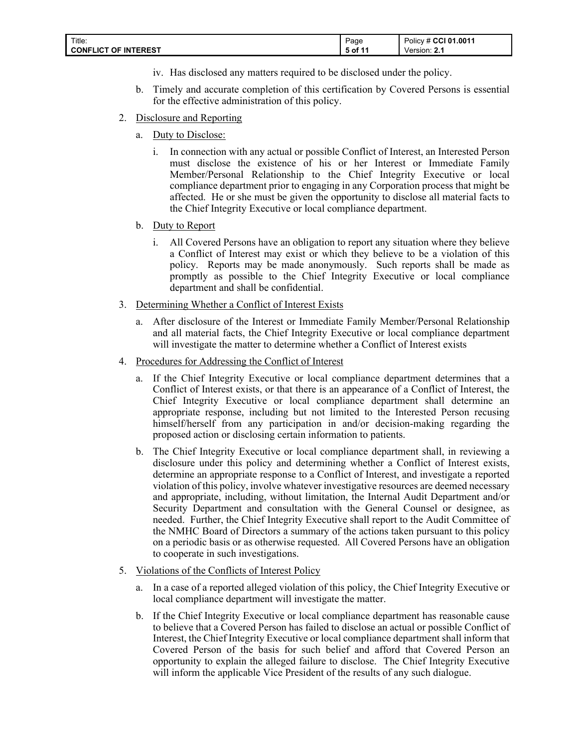| Title:                      | Page                 | Policy # CCI 01.0011 |
|-----------------------------|----------------------|----------------------|
| <b>CONFLICT OF INTEREST</b> | , 5 of <sup>14</sup> | . .<br>√ersion:<br>. |

- iv. Has disclosed any matters required to be disclosed under the policy.
- b. Timely and accurate completion of this certification by Covered Persons is essential for the effective administration of this policy.
- 2. Disclosure and Reporting
	- a. Duty to Disclose:
		- i. In connection with any actual or possible Conflict of Interest, an Interested Person must disclose the existence of his or her Interest or Immediate Family Member/Personal Relationship to the Chief Integrity Executive or local compliance department prior to engaging in any Corporation process that might be affected. He or she must be given the opportunity to disclose all material facts to the Chief Integrity Executive or local compliance department.
	- b. Duty to Report
		- i. All Covered Persons have an obligation to report any situation where they believe a Conflict of Interest may exist or which they believe to be a violation of this policy. Reports may be made anonymously. Such reports shall be made as promptly as possible to the Chief Integrity Executive or local compliance department and shall be confidential.
- 3. Determining Whether a Conflict of Interest Exists
	- a. After disclosure of the Interest or Immediate Family Member/Personal Relationship and all material facts, the Chief Integrity Executive or local compliance department will investigate the matter to determine whether a Conflict of Interest exists
- 4. Procedures for Addressing the Conflict of Interest
	- a. If the Chief Integrity Executive or local compliance department determines that a Conflict of Interest exists, or that there is an appearance of a Conflict of Interest, the Chief Integrity Executive or local compliance department shall determine an appropriate response, including but not limited to the Interested Person recusing himself/herself from any participation in and/or decision-making regarding the proposed action or disclosing certain information to patients.
	- b. The Chief Integrity Executive or local compliance department shall, in reviewing a disclosure under this policy and determining whether a Conflict of Interest exists, determine an appropriate response to a Conflict of Interest, and investigate a reported violation of this policy, involve whatever investigative resources are deemed necessary and appropriate, including, without limitation, the Internal Audit Department and/or Security Department and consultation with the General Counsel or designee, as needed. Further, the Chief Integrity Executive shall report to the Audit Committee of the NMHC Board of Directors a summary of the actions taken pursuant to this policy on a periodic basis or as otherwise requested. All Covered Persons have an obligation to cooperate in such investigations.
- 5. Violations of the Conflicts of Interest Policy
	- a. In a case of a reported alleged violation of this policy, the Chief Integrity Executive or local compliance department will investigate the matter.
	- b. If the Chief Integrity Executive or local compliance department has reasonable cause to believe that a Covered Person has failed to disclose an actual or possible Conflict of Interest, the Chief Integrity Executive or local compliance department shall inform that Covered Person of the basis for such belief and afford that Covered Person an opportunity to explain the alleged failure to disclose. The Chief Integrity Executive will inform the applicable Vice President of the results of any such dialogue.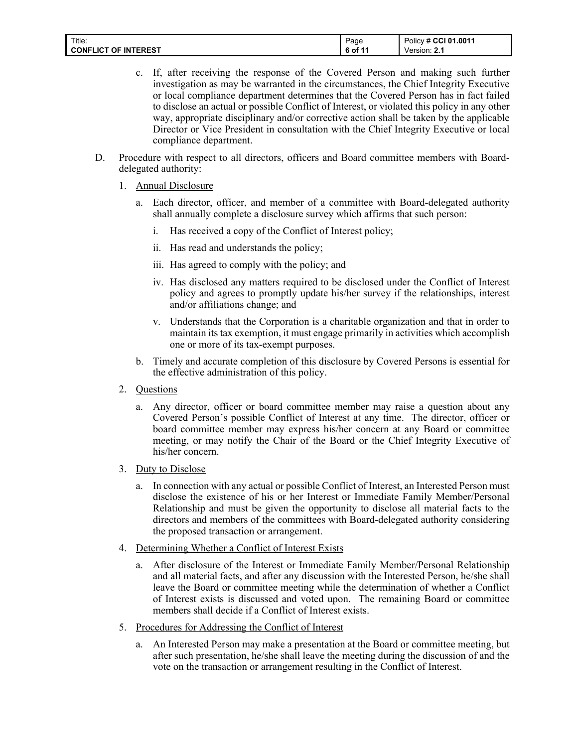| Title:                      | Page    | Policy # CCI 01.0011 |
|-----------------------------|---------|----------------------|
| <b>CONFLICT OF INTEREST</b> | 6 of 11 | Version: 2.1         |

- c. If, after receiving the response of the Covered Person and making such further investigation as may be warranted in the circumstances, the Chief Integrity Executive or local compliance department determines that the Covered Person has in fact failed to disclose an actual or possible Conflict of Interest, or violated this policy in any other way, appropriate disciplinary and/or corrective action shall be taken by the applicable Director or Vice President in consultation with the Chief Integrity Executive or local compliance department.
- D. Procedure with respect to all directors, officers and Board committee members with Boarddelegated authority:
	- 1. Annual Disclosure
		- a. Each director, officer, and member of a committee with Board-delegated authority shall annually complete a disclosure survey which affirms that such person:
			- i. Has received a copy of the Conflict of Interest policy;
			- ii. Has read and understands the policy;
			- iii. Has agreed to comply with the policy; and
			- iv. Has disclosed any matters required to be disclosed under the Conflict of Interest policy and agrees to promptly update his/her survey if the relationships, interest and/or affiliations change; and
			- v. Understands that the Corporation is a charitable organization and that in order to maintain its tax exemption, it must engage primarily in activities which accomplish one or more of its tax-exempt purposes.
		- b. Timely and accurate completion of this disclosure by Covered Persons is essential for the effective administration of this policy.
	- 2. Questions
		- a. Any director, officer or board committee member may raise a question about any Covered Person's possible Conflict of Interest at any time. The director, officer or board committee member may express his/her concern at any Board or committee meeting, or may notify the Chair of the Board or the Chief Integrity Executive of his/her concern.
	- 3. Duty to Disclose
		- a. In connection with any actual or possible Conflict of Interest, an Interested Person must disclose the existence of his or her Interest or Immediate Family Member/Personal Relationship and must be given the opportunity to disclose all material facts to the directors and members of the committees with Board-delegated authority considering the proposed transaction or arrangement.
	- 4. Determining Whether a Conflict of Interest Exists
		- a. After disclosure of the Interest or Immediate Family Member/Personal Relationship and all material facts, and after any discussion with the Interested Person, he/she shall leave the Board or committee meeting while the determination of whether a Conflict of Interest exists is discussed and voted upon. The remaining Board or committee members shall decide if a Conflict of Interest exists.
	- 5. Procedures for Addressing the Conflict of Interest
		- a. An Interested Person may make a presentation at the Board or committee meeting, but after such presentation, he/she shall leave the meeting during the discussion of and the vote on the transaction or arrangement resulting in the Conflict of Interest.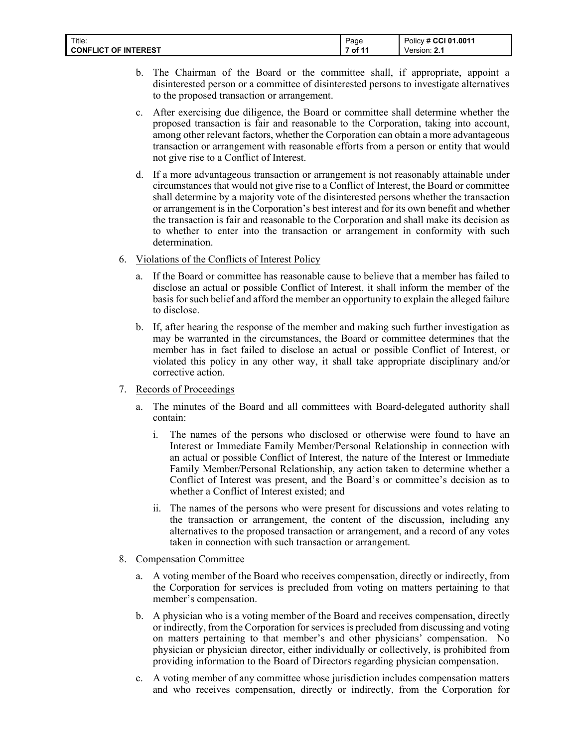| Title:                      | Page  | Policy # CCI 01.0011 |
|-----------------------------|-------|----------------------|
| <b>CONFLICT OF INTEREST</b> | of 11 | Version: 2.          |

- b. The Chairman of the Board or the committee shall, if appropriate, appoint a disinterested person or a committee of disinterested persons to investigate alternatives to the proposed transaction or arrangement.
- c. After exercising due diligence, the Board or committee shall determine whether the proposed transaction is fair and reasonable to the Corporation, taking into account, among other relevant factors, whether the Corporation can obtain a more advantageous transaction or arrangement with reasonable efforts from a person or entity that would not give rise to a Conflict of Interest.
- d. If a more advantageous transaction or arrangement is not reasonably attainable under circumstances that would not give rise to a Conflict of Interest, the Board or committee shall determine by a majority vote of the disinterested persons whether the transaction or arrangement is in the Corporation's best interest and for its own benefit and whether the transaction is fair and reasonable to the Corporation and shall make its decision as to whether to enter into the transaction or arrangement in conformity with such determination.
- 6. Violations of the Conflicts of Interest Policy
	- If the Board or committee has reasonable cause to believe that a member has failed to disclose an actual or possible Conflict of Interest, it shall inform the member of the basis for such belief and afford the member an opportunity to explain the alleged failure to disclose.
	- b. If, after hearing the response of the member and making such further investigation as may be warranted in the circumstances, the Board or committee determines that the member has in fact failed to disclose an actual or possible Conflict of Interest, or violated this policy in any other way, it shall take appropriate disciplinary and/or corrective action.
- 7. Records of Proceedings
	- a. The minutes of the Board and all committees with Board-delegated authority shall contain:
		- i. The names of the persons who disclosed or otherwise were found to have an Interest or Immediate Family Member/Personal Relationship in connection with an actual or possible Conflict of Interest, the nature of the Interest or Immediate Family Member/Personal Relationship, any action taken to determine whether a Conflict of Interest was present, and the Board's or committee's decision as to whether a Conflict of Interest existed; and
		- ii. The names of the persons who were present for discussions and votes relating to the transaction or arrangement, the content of the discussion, including any alternatives to the proposed transaction or arrangement, and a record of any votes taken in connection with such transaction or arrangement.
- 8. Compensation Committee
	- a. A voting member of the Board who receives compensation, directly or indirectly, from the Corporation for services is precluded from voting on matters pertaining to that member's compensation.
	- b. A physician who is a voting member of the Board and receives compensation, directly or indirectly, from the Corporation for services is precluded from discussing and voting on matters pertaining to that member's and other physicians' compensation. No physician or physician director, either individually or collectively, is prohibited from providing information to the Board of Directors regarding physician compensation.
	- c. A voting member of any committee whose jurisdiction includes compensation matters and who receives compensation, directly or indirectly, from the Corporation for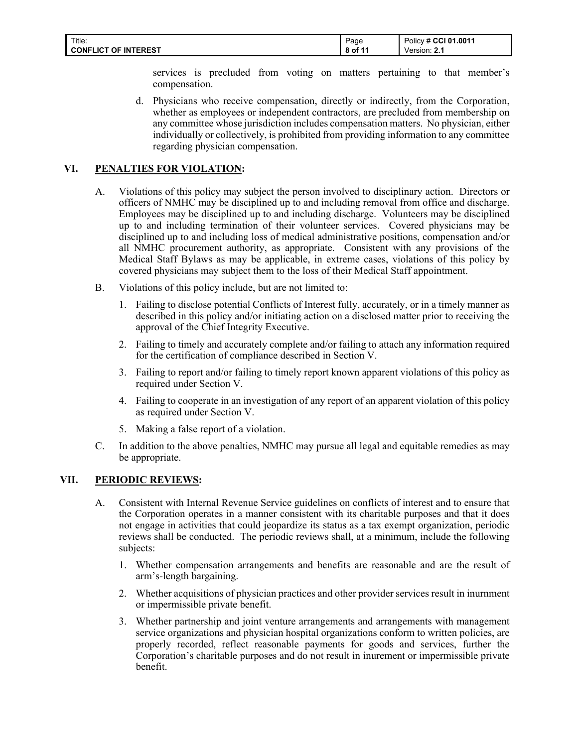| Title:                      | Page    | Policy # CCI 01.0011 |
|-----------------------------|---------|----------------------|
| <b>CONFLICT OF INTEREST</b> | 8 of 11 | - 22<br>∨ersion: ∠…  |

services is precluded from voting on matters pertaining to that member's compensation.

d. Physicians who receive compensation, directly or indirectly, from the Corporation, whether as employees or independent contractors, are precluded from membership on any committee whose jurisdiction includes compensation matters. No physician, either individually or collectively, is prohibited from providing information to any committee regarding physician compensation.

# **VI. PENALTIES FOR VIOLATION:**

- A. Violations of this policy may subject the person involved to disciplinary action. Directors or officers of NMHC may be disciplined up to and including removal from office and discharge. Employees may be disciplined up to and including discharge. Volunteers may be disciplined up to and including termination of their volunteer services. Covered physicians may be disciplined up to and including loss of medical administrative positions, compensation and/or all NMHC procurement authority, as appropriate. Consistent with any provisions of the Medical Staff Bylaws as may be applicable, in extreme cases, violations of this policy by covered physicians may subject them to the loss of their Medical Staff appointment.
- B. Violations of this policy include, but are not limited to:
	- 1. Failing to disclose potential Conflicts of Interest fully, accurately, or in a timely manner as described in this policy and/or initiating action on a disclosed matter prior to receiving the approval of the Chief Integrity Executive.
	- 2. Failing to timely and accurately complete and/or failing to attach any information required for the certification of compliance described in Section V.
	- 3. Failing to report and/or failing to timely report known apparent violations of this policy as required under Section V.
	- 4. Failing to cooperate in an investigation of any report of an apparent violation of this policy as required under Section V.
	- 5. Making a false report of a violation.
- C. In addition to the above penalties, NMHC may pursue all legal and equitable remedies as may be appropriate.

# **VII. PERIODIC REVIEWS:**

- A. Consistent with Internal Revenue Service guidelines on conflicts of interest and to ensure that the Corporation operates in a manner consistent with its charitable purposes and that it does not engage in activities that could jeopardize its status as a tax exempt organization, periodic reviews shall be conducted. The periodic reviews shall, at a minimum, include the following subjects:
	- 1. Whether compensation arrangements and benefits are reasonable and are the result of arm's-length bargaining.
	- 2. Whether acquisitions of physician practices and other provider services result in inurnment or impermissible private benefit.
	- 3. Whether partnership and joint venture arrangements and arrangements with management service organizations and physician hospital organizations conform to written policies, are properly recorded, reflect reasonable payments for goods and services, further the Corporation's charitable purposes and do not result in inurement or impermissible private benefit.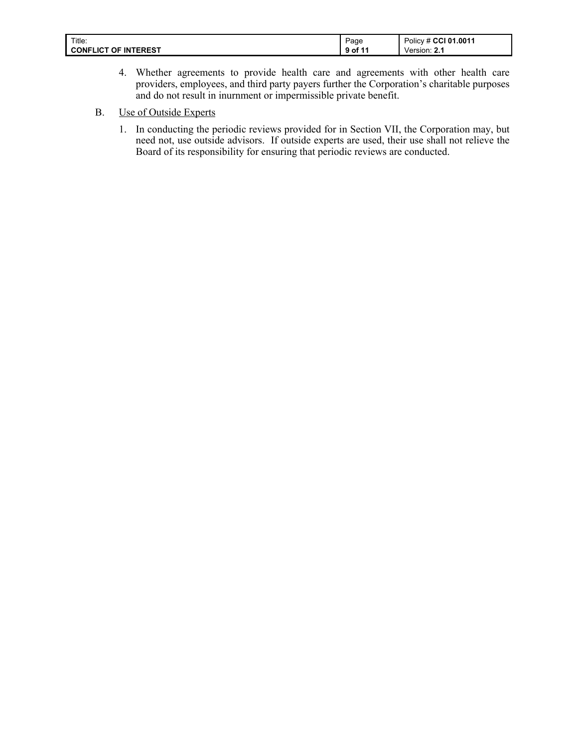| Title:                      | Page    | Policy # CCI 01.0011 |
|-----------------------------|---------|----------------------|
| <b>CONFLICT OF INTEREST</b> | 9 of 11 | Version: 2.1         |

- 4. Whether agreements to provide health care and agreements with other health care providers, employees, and third party payers further the Corporation's charitable purposes and do not result in inurnment or impermissible private benefit.
- B. Use of Outside Experts
	- 1. In conducting the periodic reviews provided for in Section VII, the Corporation may, but need not, use outside advisors. If outside experts are used, their use shall not relieve the Board of its responsibility for ensuring that periodic reviews are conducted.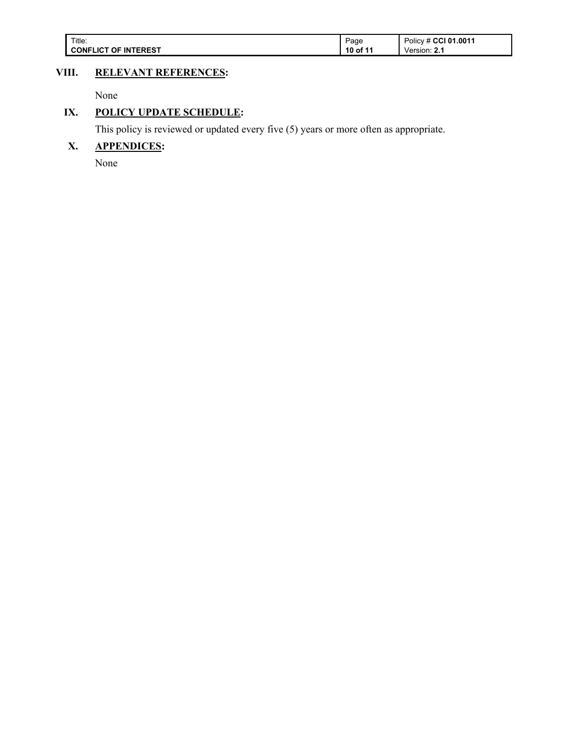| Title:                      | Page     | Policy # CCI 01.0011 |
|-----------------------------|----------|----------------------|
| <b>CONFLICT OF INTEREST</b> | 10 of 11 | Version: <b>z.</b>   |

# **VIII. RELEVANT REFERENCES:**

None

# **IX. POLICY UPDATE SCHEDULE:**

This policy is reviewed or updated every five (5) years or more often as appropriate.

# **X. APPENDICES:**

None